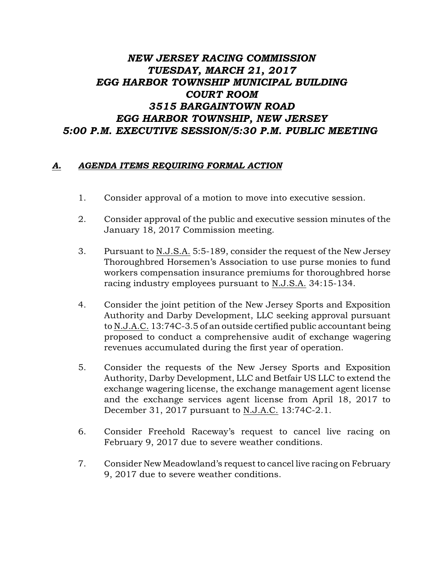## *NEW JERSEY RACING COMMISSION TUESDAY, MARCH 21, 2017 EGG HARBOR TOWNSHIP MUNICIPAL BUILDING COURT ROOM 3515 BARGAINTOWN ROAD EGG HARBOR TOWNSHIP, NEW JERSEY 5:00 P.M. EXECUTIVE SESSION/5:30 P.M. PUBLIC MEETING*

## *A. AGENDA ITEMS REQUIRING FORMAL ACTION*

- 1. Consider approval of a motion to move into executive session.
- 2. Consider approval of the public and executive session minutes of the January 18, 2017 Commission meeting.
- 3. Pursuant to N.J.S.A. 5:5-189, consider the request of the New Jersey Thoroughbred Horsemen's Association to use purse monies to fund workers compensation insurance premiums for thoroughbred horse racing industry employees pursuant to N.J.S.A. 34:15-134.
- 4. Consider the joint petition of the New Jersey Sports and Exposition Authority and Darby Development, LLC seeking approval pursuant to N.J.A.C. 13:74C-3.5 of an outside certified public accountant being proposed to conduct a comprehensive audit of exchange wagering revenues accumulated during the first year of operation.
- 5. Consider the requests of the New Jersey Sports and Exposition Authority, Darby Development, LLC and Betfair US LLC to extend the exchange wagering license, the exchange management agent license and the exchange services agent license from April 18, 2017 to December 31, 2017 pursuant to N.J.A.C. 13:74C-2.1.
- 6. Consider Freehold Raceway's request to cancel live racing on February 9, 2017 due to severe weather conditions.
- 7. Consider New Meadowland's request to cancel live racing on February 9, 2017 due to severe weather conditions.